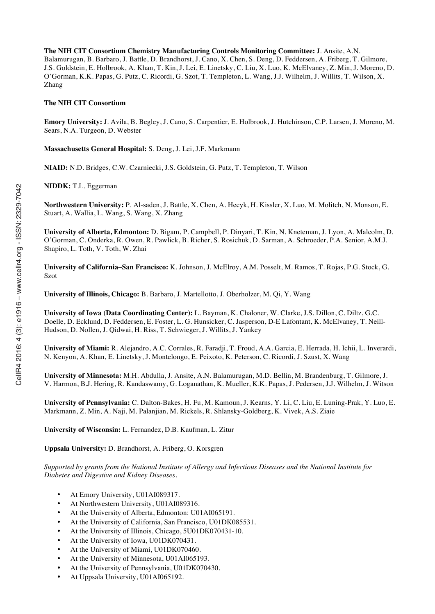**The NIH CIT Consortium Chemistry Manufacturing Controls Monitoring Committee:** J. Ansite, A.N. Balamurugan, B. Barbaro, J. Battle, D. Brandhorst, J. Cano, X. Chen, S. Deng, D. Feddersen, A. Friberg, T. Gilmore, J.S. Goldstein, E. Holbrook, A. Khan, T. Kin, J. Lei, E. Linetsky, C. Liu, X. Luo, K. McElvaney, Z. Min, J. Moreno, D. O'Gorman, K.K. Papas, G. Putz, C. Ricordi, G. Szot, T. Templeton, L. Wang, J.J. Wilhelm, J. Willits, T. Wilson, X. Zhang

## **The NIH CIT Consortium**

**Emory University:** J. Avila, B. Begley, J. Cano, S. Carpentier, E. Holbrook, J. Hutchinson, C.P. Larsen, J. Moreno, M. Sears, N.A. Turgeon, D. Webster

**Massachusetts General Hospital:** S. Deng, J. Lei, J.F. Markmann

**NIAID:** N.D. Bridges, C.W. Czarniecki, J.S. Goldstein, G. Putz, T. Templeton, T. Wilson

**NIDDK:** T.L. Eggerman

**Northwestern University:** P. Al-saden, J. Battle, X. Chen, A. Hecyk, H. Kissler, X. Luo, M. Molitch, N. Monson, E. Stuart, A. Wallia, L. Wang, S. Wang, X. Zhang

**University of Alberta, Edmonton:** D. Bigam, P. Campbell, P. Dinyari, T. Kin, N. Kneteman, J. Lyon, A. Malcolm, D. O'Gorman, C. Onderka, R. Owen, R. Pawlick, B. Richer, S. Rosichuk, D. Sarman, A. Schroeder, P.A. Senior, A.M.J. Shapiro, L. Toth, V. Toth, W. Zhai

**University of California–San Francisco:** K. Johnson, J. McElroy, A.M. Posselt, M. Ramos, T. Rojas, P.G. Stock, G. Szot

**University of Illinois, Chicago:** B. Barbaro, J. Martellotto, J. Oberholzer, M. Qi, Y. Wang

**University of Iowa (Data Coordinating Center):** L. Bayman, K. Chaloner, W. Clarke, J.S. Dillon, C. Diltz, G.C. Doelle, D. Ecklund, D. Feddersen, E. Foster, L. G. Hunsicker, C. Jasperson, D-E Lafontant, K. McElvaney, T. Neill-Hudson, D. Nollen, J. Qidwai, H. Riss, T. Schwieger, J. Willits, J. Yankey

**University of Miami:** R. Alejandro, A.C. Corrales, R. Faradji, T. Froud, A.A. Garcia, E. Herrada, H. Ichii, L. Inverardi, N. Kenyon, A. Khan, E. Linetsky, J. Montelongo, E. Peixoto, K. Peterson, C. Ricordi, J. Szust, X. Wang

**University of Minnesota:** M.H. Abdulla, J. Ansite, A.N. Balamurugan, M.D. Bellin, M. Brandenburg, T. Gilmore, J. V. Harmon, B.J. Hering, R. Kandaswamy, G. Loganathan, K. Mueller, K.K. Papas, J. Pedersen, J.J. Wilhelm, J. Witson

**University of Pennsylvania:** C. Dalton-Bakes, H. Fu, M. Kamoun, J. Kearns, Y. Li, C. Liu, E. Luning-Prak, Y. Luo, E. Markmann, Z. Min, A. Naji, M. Palanjian, M. Rickels, R. Shlansky-Goldberg, K. Vivek, A.S. Ziaie

**University of Wisconsin:** L. Fernandez, D.B. Kaufman, L. Zitur

**Uppsala University:** D. Brandhorst, A. Friberg, O. Korsgren

*Supported by grants from the National Institute of Allergy and Infectious Diseases and the National Institute for Diabetes and Digestive and Kidney Diseases.*

- At Emory University, U01AI089317.
- At Northwestern University, U01AI089316.
- At the University of Alberta, Edmonton: U01AI065191.
- At the University of California, San Francisco, U01DK085531.
- At the University of Illinois, Chicago, 5U01DK070431-10.
- At the University of Iowa, U01DK070431.
- At the University of Miami, U01DK070460.
- At the University of Minnesota, U01AI065193.
- At the University of Pennsylvania, U01DK070430.
- At Uppsala University, U01AI065192.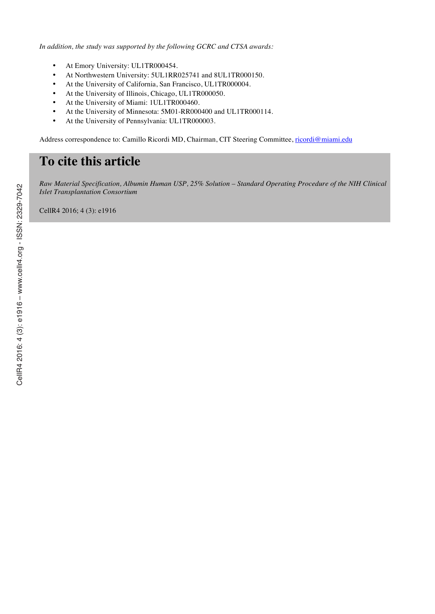*In addition, the study was supported by the following GCRC and CTSA awards:*

- At Emory University: UL1TR000454.
- At Northwestern University: 5UL1RR025741 and 8UL1TR000150.
- At the University of California, San Francisco, UL1TR000004.
- At the University of Illinois, Chicago, UL1TR000050.
- At the University of Miami: 1UL1TR000460.
- At the University of Minnesota: 5M01-RR000400 and UL1TR000114.
- At the University of Pennsylvania: UL1TR000003.

Address correspondence to: Camillo Ricordi MD, Chairman, CIT Steering Committee, ricordi@miami.edu

# **To cite this article**

*Raw Material Specification, Albumin Human USP, 25% Solution – Standard Operating Procedure of the NIH Clinical Islet Transplantation Consortium*

CellR4 2016; 4 (3): e1916